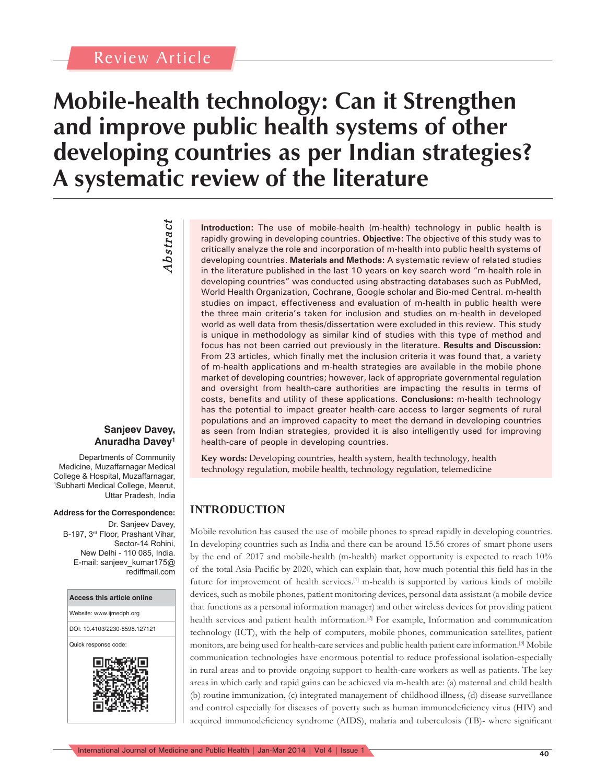# Review Article

# **Mobile-health technology: Can it Strengthen and improve public health systems of other developing countries as per Indian strategies? A systematic review of the literature**

# *Abstract* **Abstract**

#### **Sanjeev Davey, Anuradha Davey1**

Departments of Community Medicine, Muzaffarnagar Medical College & Hospital, Muzaffarnagar, 1 Subharti Medical College, Meerut, Uttar Pradesh, India

#### **Address for the Correspondence:**

Dr. Sanjeev Davey, B-197, 3rd Floor, Prashant Vihar, Sector-14 Rohini, New Delhi - 110 085, India. E-mail: sanjeev\_kumar175@ rediffmail.com



**Introduction:** The use of mobile-health (m-health) technology in public health is rapidly growing in developing countries. **Objective:** The objective of this study was to critically analyze the role and incorporation of m-health into public health systems of developing countries. **Materials and Methods:** A systematic review of related studies in the literature published in the last 10 years on key search word "m-health role in developing countries" was conducted using abstracting databases such as PubMed, World Health Organization, Cochrane, Google scholar and Bio-med Central. m-health studies on impact, effectiveness and evaluation of m-health in public health were the three main criteria's taken for inclusion and studies on m-health in developed world as well data from thesis/dissertation were excluded in this review. This study is unique in methodology as similar kind of studies with this type of method and focus has not been carried out previously in the literature. **Results and Discussion:** From 23 articles, which finally met the inclusion criteria it was found that, a variety of m-health applications and m-health strategies are available in the mobile phone market of developing countries; however, lack of appropriate governmental regulation and oversight from health-care authorities are impacting the results in terms of costs, benefits and utility of these applications. **Conclusions:** m-health technology has the potential to impact greater health-care access to larger segments of rural populations and an improved capacity to meet the demand in developing countries as seen from Indian strategies, provided it is also intelligently used for improving health-care of people in developing countries.

**Key words:** Developing countries, health system, health technology, health technology regulation, mobile health, technology regulation, telemedicine

# **INTRODUCTION**

Mobile revolution has caused the use of mobile phones to spread rapidly in developing countries. In developing countries such as India and there can be around 15.56 crores of smart phone users by the end of 2017 and mobile-health (m-health) market opportunity is expected to reach 10% of the total Asia-Pacific by 2020, which can explain that, how much potential this field has in the future for improvement of health services.[1] m-health is supported by various kinds of mobile devices, such as mobile phones, patient monitoring devices, personal data assistant (a mobile device that functions as a personal information manager) and other wireless devices for providing patient health services and patient health information.<sup>[2]</sup> For example, Information and communication technology (ICT), with the help of computers, mobile phones, communication satellites, patient monitors, are being used for health-care services and public health patient care information.[3] Mobile communication technologies have enormous potential to reduce professional isolation-especially in rural areas and to provide ongoing support to health-care workers as well as patients. The key areas in which early and rapid gains can be achieved via m-health are: (a) maternal and child health (b) routine immunization, (c) integrated management of childhood illness, (d) disease surveillance and control especially for diseases of poverty such as human immunodeficiency virus (HIV) and acquired immunodeficiency syndrome (AIDS), malaria and tuberculosis (TB)- where significant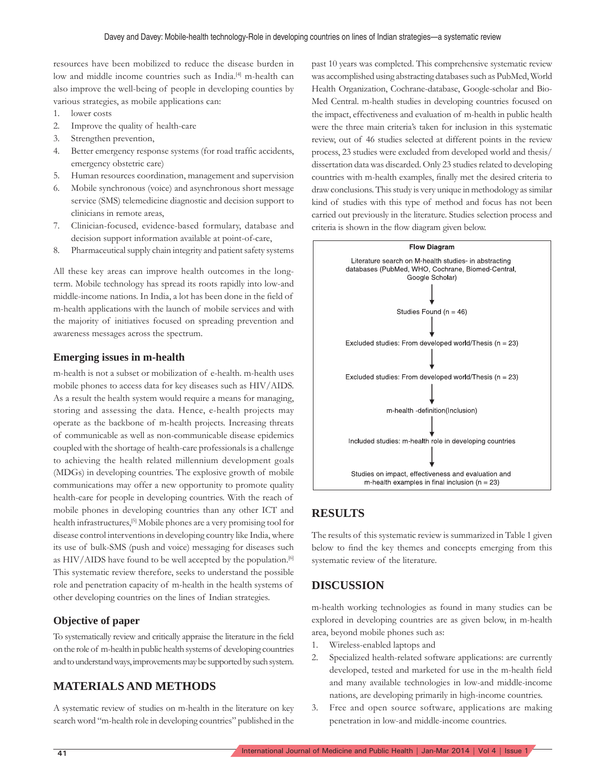resources have been mobilized to reduce the disease burden in low and middle income countries such as India.[4] m-health can also improve the well-being of people in developing counties by various strategies, as mobile applications can:

- 1. lower costs
- 2. Improve the quality of health-care
- 3. Strengthen prevention,
- 4. Better emergency response systems (for road traffic accidents, emergency obstetric care)
- 5. Human resources coordination, management and supervision
- 6. Mobile synchronous (voice) and asynchronous short message service (SMS) telemedicine diagnostic and decision support to clinicians in remote areas,
- 7. Clinician-focused, evidence-based formulary, database and decision support information available at point-of-care,
- 8. Pharmaceutical supply chain integrity and patient safety systems

All these key areas can improve health outcomes in the longterm. Mobile technology has spread its roots rapidly into low-and middle-income nations. In India, a lot has been done in the field of m-health applications with the launch of mobile services and with the majority of initiatives focused on spreading prevention and awareness messages across the spectrum.

#### **Emerging issues in m-health**

m-health is not a subset or mobilization of e-health. m-health uses mobile phones to access data for key diseases such as HIV/AIDS. As a result the health system would require a means for managing, storing and assessing the data. Hence, e-health projects may operate as the backbone of m-health projects. Increasing threats of communicable as well as non-communicable disease epidemics coupled with the shortage of health-care professionals is a challenge to achieving the health related millennium development goals (MDGs) in developing countries. The explosive growth of mobile communications may offer a new opportunity to promote quality health-care for people in developing countries. With the reach of mobile phones in developing countries than any other ICT and health infrastructures,[5] Mobile phones are a very promising tool for disease control interventions in developing country like India, where its use of bulk-SMS (push and voice) messaging for diseases such as HIV/AIDS have found to be well accepted by the population.<sup>[6]</sup> This systematic review therefore, seeks to understand the possible role and penetration capacity of m-health in the health systems of other developing countries on the lines of Indian strategies.

### **Objective of paper**

To systematically review and critically appraise the literature in the field on the role of m-health in public health systems of developing countries and to understand ways, improvements may be supported by such system.

# **MATERIALS AND METHODS**

A systematic review of studies on m-health in the literature on key search word "m-health role in developing countries" published in the past 10 years was completed. This comprehensive systematic review was accomplished using abstracting databases such as PubMed, World Health Organization, Cochrane-database, Google-scholar and Bio-Med Central. m-health studies in developing countries focused on the impact, effectiveness and evaluation of m-health in public health were the three main criteria's taken for inclusion in this systematic review, out of 46 studies selected at different points in the review process, 23 studies were excluded from developed world and thesis/ dissertation data was discarded. Only 23 studies related to developing countries with m-health examples, finally met the desired criteria to draw conclusions. This study is very unique in methodology as similar kind of studies with this type of method and focus has not been carried out previously in the literature. Studies selection process and criteria is shown in the flow diagram given below.



# **RESULTS**

The results of this systematic review is summarized in Table 1 given below to find the key themes and concepts emerging from this systematic review of the literature.

### **DISCUSSION**

m-health working technologies as found in many studies can be explored in developing countries are as given below, in m-health area, beyond mobile phones such as:

- 1. Wireless-enabled laptops and
- 2. Specialized health-related software applications: are currently developed, tested and marketed for use in the m-health field and many available technologies in low-and middle-income nations, are developing primarily in high-income countries.
- 3. Free and open source software, applications are making penetration in low-and middle-income countries.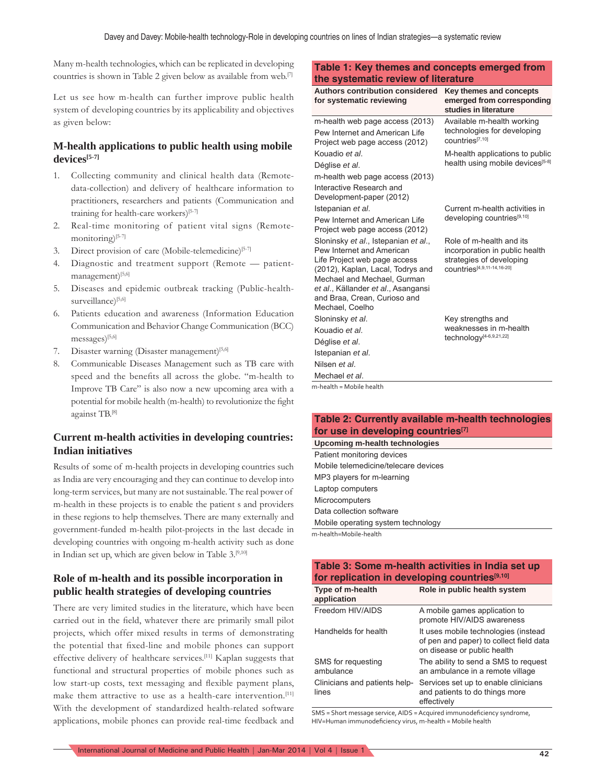Many m-health technologies, which can be replicated in developing countries is shown in Table 2 given below as available from web.[7]

Let us see how m-health can further improve public health system of developing countries by its applicability and objectives as given below:

## **M-health applications to public health using mobile devices[5-7]**

- 1. Collecting community and clinical health data (Remotedata-collection) and delivery of healthcare information to practitioners, researchers and patients (Communication and training for health-care workers)<sup>[5-7]</sup>
- 2. Real-time monitoring of patient vital signs (Remotemonitoring)<sup>[5-7]</sup>
- 3. Direct provision of care (Mobile-telemedicine)<sup>[5-7]</sup>
- 4. Diagnostic and treatment support (Remote patientmanagement)<sup>[5,6]</sup>
- 5. Diseases and epidemic outbreak tracking (Public-healthsurveillance)<sup>[5,6]</sup>
- 6. Patients education and awareness (Information Education Communication and Behavior Change Communication (BCC) messages)<sup>[5,6]</sup>
- 7. Disaster warning (Disaster management)<sup>[5,6]</sup>
- 8. Communicable Diseases Management such as TB care with speed and the benefits all across the globe. "m-health to Improve TB Care" is also now a new upcoming area with a potential for mobile health (m-health) to revolutionize the fight against TB.[8]

### **Current m-health activities in developing countries: Indian initiatives**

Results of some of m-health projects in developing countries such as India are very encouraging and they can continue to develop into long-term services, but many are not sustainable. The real power of m-health in these projects is to enable the patient s and providers in these regions to help themselves. There are many externally and government-funded m-health pilot-projects in the last decade in developing countries with ongoing m-health activity such as done in Indian set up, which are given below in Table  $3.^{[9,10]}$ 

# **Role of m-health and its possible incorporation in public health strategies of developing countries**

There are very limited studies in the literature, which have been carried out in the field, whatever there are primarily small pilot projects, which offer mixed results in terms of demonstrating the potential that fixed-line and mobile phones can support effective delivery of healthcare services.[11] Kaplan suggests that functional and structural properties of mobile phones such as low start-up costs, text messaging and flexible payment plans, make them attractive to use as a health-care intervention.<sup>[11]</sup> With the development of standardized health-related software applications, mobile phones can provide real-time feedback and

# **Table 1: Key themes and concepts emerged from the systematic review of literature**

| <b>Authors contribution considered</b><br>for systematic reviewing                                                                                                                                                                                              | Key themes and concepts<br>emerged from corresponding<br>studies in literature                                                   |
|-----------------------------------------------------------------------------------------------------------------------------------------------------------------------------------------------------------------------------------------------------------------|----------------------------------------------------------------------------------------------------------------------------------|
| m-health web page access (2013)<br>Pew Internet and American Life<br>Project web page access (2012)                                                                                                                                                             | Available m-health working<br>technologies for developing<br>countries <sup>[7,10]</sup>                                         |
| Kouadio et al<br>Déglise et al.                                                                                                                                                                                                                                 | M-health applications to public<br>health using mobile devices <sup>[5-8]</sup>                                                  |
| m-health web page access (2013)<br>Interactive Research and<br>Development-paper (2012)                                                                                                                                                                         |                                                                                                                                  |
| Istepanian et al.<br>Pew Internet and American Life<br>Project web page access (2012)                                                                                                                                                                           | Current m-health activities in<br>developing countries <sup>[9,10]</sup>                                                         |
| Sloninsky et al., Istepanian et al.,<br>Pew Internet and American<br>Life Project web page access<br>(2012), Kaplan, Lacal, Todrys and<br>Mechael and Mechael. Gurman<br>et al., Källander et al., Asangansi<br>and Braa, Crean, Curioso and<br>Mechael, Coelho | Role of m-health and its<br>incorporation in public health<br>strategies of developing<br>countries <sup>[4,9,11-14,16-20]</sup> |
| Sloninsky et al.<br>Kouadio et al<br>Déglise et al.<br>Istepanian et al.<br>Nilsen et al<br>Mechael et al.                                                                                                                                                      | Key strengths and<br>weaknesses in m-health<br>technology <sup>[4-6,9,21,22]</sup>                                               |
| m-health = Mobile health                                                                                                                                                                                                                                        |                                                                                                                                  |

## **Table 2: Currently available m-health technologies for use in developing countries[7]**

| Upcoming m-health technologies       |  |
|--------------------------------------|--|
| Patient monitoring devices           |  |
| Mobile telemedicine/telecare devices |  |
| MP3 players for m-learning           |  |
| Laptop computers                     |  |
| Microcomputers                       |  |
| Data collection software             |  |
| Mobile operating system technology   |  |
| m-health=Mobile-health               |  |

#### **Table 3: Some m-health activities in India set up for replication in developing countries[9,10]**

| Type of m-health<br>application        | Role in public health system                                                                                   |
|----------------------------------------|----------------------------------------------------------------------------------------------------------------|
| Freedom HIV/AIDS                       | A mobile games application to<br>promote HIV/AIDS awareness                                                    |
| Handhelds for health                   | It uses mobile technologies (instead<br>of pen and paper) to collect field data<br>on disease or public health |
| SMS for requesting<br>ambulance        | The ability to send a SMS to request<br>an ambulance in a remote village                                       |
| Clinicians and patients help-<br>lines | Services set up to enable clinicians<br>and patients to do things more<br>effectively                          |

SMS = Short message service, AIDS = Acquired immunodeficiency syndrome, HIV=Human immunodeficiency virus, m-health = Mobile health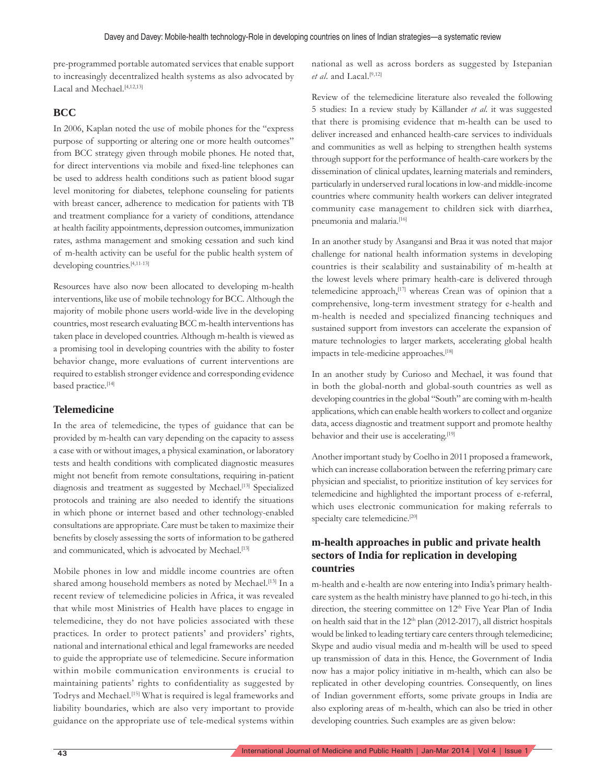pre-programmed portable automated services that enable support to increasingly decentralized health systems as also advocated by Lacal and Mechael.<sup>[4,12,13]</sup>

# **BCC**

In 2006, Kaplan noted the use of mobile phones for the "express purpose of supporting or altering one or more health outcomes" from BCC strategy given through mobile phones. He noted that, for direct interventions via mobile and fixed-line telephones can be used to address health conditions such as patient blood sugar level monitoring for diabetes, telephone counseling for patients with breast cancer, adherence to medication for patients with TB and treatment compliance for a variety of conditions, attendance at health facility appointments, depression outcomes, immunization rates, asthma management and smoking cessation and such kind of m-health activity can be useful for the public health system of developing countries.<sup>[4,11-13]</sup>

Resources have also now been allocated to developing m-health interventions, like use of mobile technology for BCC. Although the majority of mobile phone users world-wide live in the developing countries, most research evaluating BCC m-health interventions has taken place in developed countries. Although m-health is viewed as a promising tool in developing countries with the ability to foster behavior change, more evaluations of current interventions are required to establish stronger evidence and corresponding evidence based practice.[14]

#### **Telemedicine**

In the area of telemedicine, the types of guidance that can be provided by m-health can vary depending on the capacity to assess a case with or without images, a physical examination, or laboratory tests and health conditions with complicated diagnostic measures might not benefit from remote consultations, requiring in-patient diagnosis and treatment as suggested by Mechael.[13] Specialized protocols and training are also needed to identify the situations in which phone or internet based and other technology-enabled consultations are appropriate. Care must be taken to maximize their benefits by closely assessing the sorts of information to be gathered and communicated, which is advocated by Mechael.<sup>[13]</sup>

Mobile phones in low and middle income countries are often shared among household members as noted by Mechael.<sup>[13]</sup> In a recent review of telemedicine policies in Africa, it was revealed that while most Ministries of Health have places to engage in telemedicine, they do not have policies associated with these practices. In order to protect patients' and providers' rights, national and international ethical and legal frameworks are needed to guide the appropriate use of telemedicine. Secure information within mobile communication environments is crucial to maintaining patients' rights to confidentiality as suggested by Todrys and Mechael.[15] What is required is legal frameworks and liability boundaries, which are also very important to provide guidance on the appropriate use of tele-medical systems within

national as well as across borders as suggested by Istepanian *et al*. and Lacal.[9,12]

Review of the telemedicine literature also revealed the following 5 studies: In a review study by Källander *et al*. it was suggested that there is promising evidence that m-health can be used to deliver increased and enhanced health-care services to individuals and communities as well as helping to strengthen health systems through support for the performance of health-care workers by the dissemination of clinical updates, learning materials and reminders, particularly in underserved rural locations in low-and middle-income countries where community health workers can deliver integrated community case management to children sick with diarrhea, pneumonia and malaria.<sup>[16]</sup>

In an another study by Asangansi and Braa it was noted that major challenge for national health information systems in developing countries is their scalability and sustainability of m-health at the lowest levels where primary health-care is delivered through telemedicine approach,<sup>[17]</sup> whereas Crean was of opinion that a comprehensive, long-term investment strategy for e-health and m-health is needed and specialized financing techniques and sustained support from investors can accelerate the expansion of mature technologies to larger markets, accelerating global health impacts in tele-medicine approaches.<sup>[18]</sup>

In an another study by Curioso and Mechael, it was found that in both the global-north and global-south countries as well as developing countries in the global "South" are coming with m-health applications, which can enable health workers to collect and organize data, access diagnostic and treatment support and promote healthy behavior and their use is accelerating.<sup>[19]</sup>

Another important study by Coelho in 2011 proposed a framework, which can increase collaboration between the referring primary care physician and specialist, to prioritize institution of key services for telemedicine and highlighted the important process of e-referral, which uses electronic communication for making referrals to specialty care telemedicine.<sup>[20]</sup>

# **m-health approaches in public and private health sectors of India for replication in developing countries**

m-health and e-health are now entering into India's primary healthcare system as the health ministry have planned to go hi-tech, in this direction, the steering committee on 12<sup>th</sup> Five Year Plan of India on health said that in the  $12<sup>th</sup>$  plan (2012-2017), all district hospitals would be linked to leading tertiary care centers through telemedicine; Skype and audio visual media and m-health will be used to speed up transmission of data in this. Hence, the Government of India now has a major policy initiative in m-health, which can also be replicated in other developing countries. Consequently, on lines of Indian government efforts, some private groups in India are also exploring areas of m-health, which can also be tried in other developing countries. Such examples are as given below: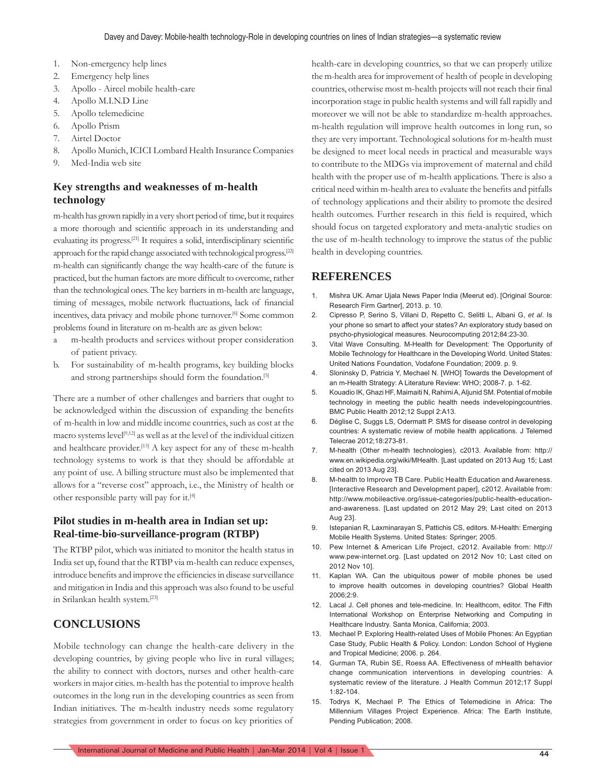- 1. Non-emergency help lines
- 2. Emergency help lines
- 3. Apollo Aircel mobile health-care
- 4. Apollo M.I.N.D Line
- 5. Apollo telemedicine
- 6. Apollo Prism
- 7. Airtel Doctor
- 8. Apollo Munich, ICICI Lombard Health Insurance Companies
- 9. Med-India web site

# **Key strengths and weaknesses of m-health technology**

m-health has grown rapidly in a very short period of time, but it requires a more thorough and scientific approach in its understanding and evaluating its progress.<sup>[21]</sup> It requires a solid, interdisciplinary scientific approach for the rapid change associated with technological progress.[22] m-health can significantly change the way health-care of the future is practiced, but the human factors are more difficult to overcome, rather than the technological ones. The key barriers in m-health are language, timing of messages, mobile network fluctuations, lack of financial incentives, data privacy and mobile phone turnover.<sup>[6]</sup> Some common problems found in literature on m-health are as given below:

- a m-health products and services without proper consideration of patient privacy.
- b. For sustainability of m-health programs, key building blocks and strong partnerships should form the foundation.[5]

There are a number of other challenges and barriers that ought to be acknowledged within the discussion of expanding the benefits of m-health in low and middle income countries, such as cost at the macro systems level[9,12] as well as at the level of the individual citizen and healthcare provider.[13] A key aspect for any of these m-health technology systems to work is that they should be affordable at any point of use. A billing structure must also be implemented that allows for a "reverse cost" approach, i.e., the Ministry of health or other responsible party will pay for it.[4]

## **Pilot studies in m-health area in Indian set up: Real-time-bio-surveillance-program (RTBP)**

The RTBP pilot, which was initiated to monitor the health status in India set up, found that the RTBP via m-health can reduce expenses, introduce benefits and improve the efficiencies in disease surveillance and mitigation in India and this approach was also found to be useful in Srilankan health system.[23]

# **CONCLUSIONS**

Mobile technology can change the health-care delivery in the developing countries, by giving people who live in rural villages; the ability to connect with doctors, nurses and other health-care workers in major cities. m-health has the potential to improve health outcomes in the long run in the developing countries as seen from Indian initiatives. The m-health industry needs some regulatory strategies from government in order to focus on key priorities of health-care in developing countries, so that we can properly utilize the m-health area for improvement of health of people in developing countries, otherwise most m-health projects will not reach their final incorporation stage in public health systems and will fall rapidly and moreover we will not be able to standardize m-health approaches. m-health regulation will improve health outcomes in long run, so they are very important. Technological solutions for m-health must be designed to meet local needs in practical and measurable ways to contribute to the MDGs via improvement of maternal and child health with the proper use of m-health applications. There is also a critical need within m-health area to evaluate the benefits and pitfalls of technology applications and their ability to promote the desired health outcomes. Further research in this field is required, which should focus on targeted exploratory and meta-analytic studies on the use of m-health technology to improve the status of the public health in developing countries.

# **REFERENCES**

- 1. Mishra UK. Amar Ujala News Paper India (Meerut ed). [Original Source: Research Firm Gartner], 2013. p. 10.
- 2. Cipresso P, Serino S, Villani D, Repetto C, Selitti L, Albani G, *et al*. Is your phone so smart to affect your states? An exploratory study based on psycho-physiological measures. Neurocomputing 2012;84:23-30.
- 3. Vital Wave Consulting. M-Health for Development: The Opportunity of Mobile Technology for Healthcare in the Developing World. United States: United Nations Foundation, Vodafone Foundation; 2009. p. 9.
- 4. Sloninsky D, Patricia Y, Mechael N. [WHO] Towards the Development of an m-Health Strategy: A Literature Review: WHO; 2008-7. p. 1-62.
- 5. Kouadio IK, Ghazi HF, Maimaiti N, Rahimi A, Aljunid SM. Potential of mobile technology in meeting the public health needs indevelopingcountries. BMC Public Health 2012;12 Suppl 2:A13.
- 6. Déglise C, Suggs LS, Odermatt P. SMS for disease control in developing countries: A systematic review of mobile health applications. J Telemed Telecrae 2012;18:273-81.
- 7. M-health (Other m-health technologies), c2013. Available from: http:// www.en.wikipedia.org/wiki/MHealth. [Last updated on 2013 Aug 15; Last cited on 2013 Aug 23].
- 8. M-health to Improve TB Care. Public Health Education and Awareness. [Interactive Research and Development paper], c2012. Available from: http://www.mobileactive.org/issue-categories/public-health-educationand-awareness. [Last updated on 2012 May 29; Last cited on 2013 Aug 23].
- 9. Istepanian R, Laxminarayan S, Pattichis CS, editors. M-Health: Emerging Mobile Health Systems. United States: Springer; 2005.
- 10. Pew Internet & American Life Project, c2012. Available from: http:// www.pew-internet.org. [Last updated on 2012 Nov 10; Last cited on 2012 Nov 10].
- 11. Kaplan WA. Can the ubiquitous power of mobile phones be used to improve health outcomes in developing countries? Global Health 2006;2:9.
- 12. Lacal J. Cell phones and tele-medicine. In: Healthcom, editor. The Fifth International Workshop on Enterprise Networking and Computing in Healthcare Industry. Santa Monica, California; 2003.
- 13. Mechael P. Exploring Health-related Uses of Mobile Phones: An Egyptian Case Study, Public Health & Policy. London: London School of Hygiene and Tropical Medicine; 2006. p. 264.
- 14. Gurman TA, Rubin SE, Roess AA. Effectiveness of mHealth behavior change communication interventions in developing countries: A systematic review of the literature. J Health Commun 2012;17 Suppl 1:82-104.
- 15. Todrys K, Mechael P. The Ethics of Telemedicine in Africa: The Millennium Villages Project Experience. Africa: The Earth Institute, Pending Publication; 2008.